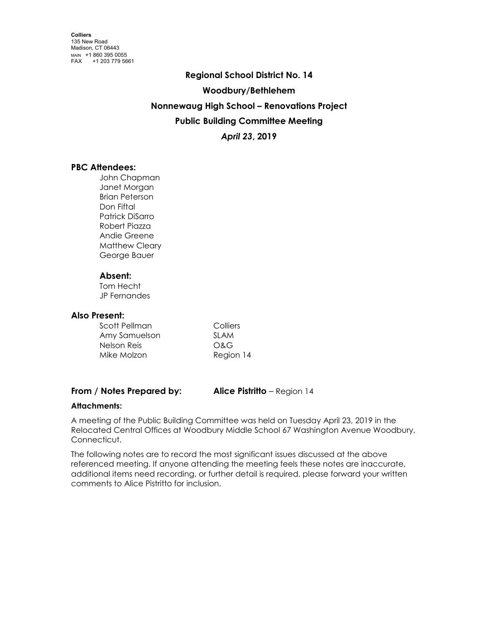**Regional School District No. 14 Woodbury/Bethlehem Nonnewaug High School – Renovations Project Public Building Committee Meeting** *April 23***, 2019**

# **PBC Attendees:**

John Chapman Janet Morgan Brian Peterson Don Fiftal Patrick DiSarro Robert Piazza Andie Greene Matthew Cleary George Bauer

## **Absent:**

Tom Hecht JP Fernandes

## **Also Present:**

| Scott Pellman | Colliers  |
|---------------|-----------|
| Amy Samuelson | SI AM     |
| Nelson Reis   | O&G       |
| Mike Molzon   | Region 14 |

## **From / Notes Prepared by: Alice Pistritto** – Region 14

## **Attachments:**

A meeting of the Public Building Committee was held on Tuesday April 23, 2019 in the Relocated Central Offices at Woodbury Middle School 67 Washington Avenue Woodbury, Connecticut.

The following notes are to record the most significant issues discussed at the above referenced meeting. If anyone attending the meeting feels these notes are inaccurate, additional items need recording, or further detail is required, please forward your written comments to Alice Pistritto for inclusion.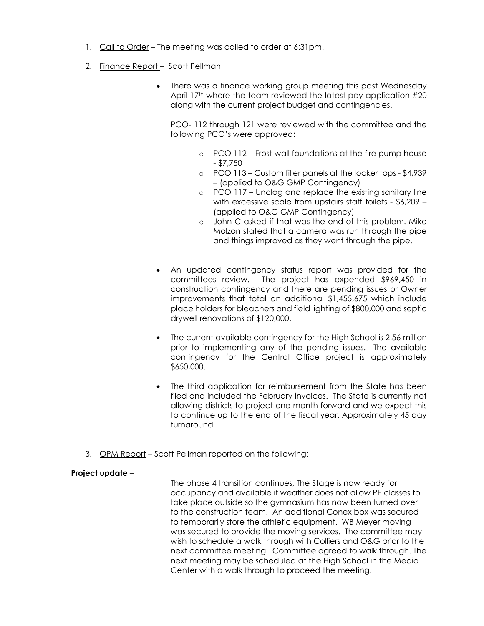- 1. Call to Order The meeting was called to order at 6:31pm.
- 2. Finance Report Scott Pellman
	- There was a finance working group meeting this past Wednesday April 17<sup>th</sup> where the team reviewed the latest pay application #20 along with the current project budget and contingencies.

PCO- 112 through 121 were reviewed with the committee and the following PCO's were approved:

- o PCO 112 Frost wall foundations at the fire pump house - \$7,750
- o PCO 113 Custom filler panels at the locker tops \$4,939 – (applied to O&G GMP Contingency)
- o PCO 117 Unclog and replace the existing sanitary line with excessive scale from upstairs staff toilets - \$6,209 – (applied to O&G GMP Contingency)
- o John C asked if that was the end of this problem. Mike Molzon stated that a camera was run through the pipe and things improved as they went through the pipe.
- An updated contingency status report was provided for the committees review. The project has expended \$969,450 in construction contingency and there are pending issues or Owner improvements that total an additional \$1,455,675 which include place holders for bleachers and field lighting of \$800,000 and septic drywell renovations of \$120,000.
- The current available contingency for the High School is 2.56 million prior to implementing any of the pending issues. The available contingency for the Central Office project is approximately \$650,000.
- The third application for reimbursement from the State has been filed and included the February invoices. The State is currently not allowing districts to project one month forward and we expect this to continue up to the end of the fiscal year. Approximately 45 day turnaround
- 3. OPM Report Scott Pellman reported on the following:

## **Project update** –

The phase 4 transition continues, The Stage is now ready for occupancy and available if weather does not allow PE classes to take place outside so the gymnasium has now been turned over to the construction team. An additional Conex box was secured to temporarily store the athletic equipment. WB Meyer moving was secured to provide the moving services. The committee may wish to schedule a walk through with Colliers and O&G prior to the next committee meeting. Committee agreed to walk through. The next meeting may be scheduled at the High School in the Media Center with a walk through to proceed the meeting.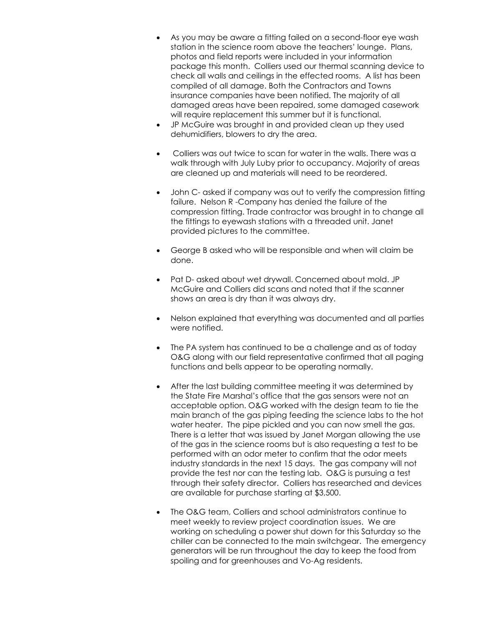- As you may be aware a fitting failed on a second-floor eye wash station in the science room above the teachers' lounge. Plans, photos and field reports were included in your information package this month. Colliers used our thermal scanning device to check all walls and ceilings in the effected rooms. A list has been compiled of all damage. Both the Contractors and Towns insurance companies have been notified. The majority of all damaged areas have been repaired, some damaged casework will require replacement this summer but it is functional.
- JP McGuire was brought in and provided clean up they used dehumidifiers, blowers to dry the area.
- Colliers was out twice to scan for water in the walls. There was a walk through with July Luby prior to occupancy. Majority of areas are cleaned up and materials will need to be reordered.
- John C- asked if company was out to verify the compression fitting failure. Nelson R -Company has denied the failure of the compression fitting. Trade contractor was brought in to change all the fittings to eyewash stations with a threaded unit. Janet provided pictures to the committee.
- George B asked who will be responsible and when will claim be done.
- Pat D- asked about wet drywall. Concerned about mold. JP McGuire and Colliers did scans and noted that if the scanner shows an area is dry than it was always dry.
- Nelson explained that everything was documented and all parties were notified.
- The PA system has continued to be a challenge and as of today O&G along with our field representative confirmed that all paging functions and bells appear to be operating normally.
- After the last building committee meeting it was determined by the State Fire Marshal's office that the gas sensors were not an acceptable option. O&G worked with the design team to tie the main branch of the gas piping feeding the science labs to the hot water heater. The pipe pickled and you can now smell the gas. There is a letter that was issued by Janet Morgan allowing the use of the gas in the science rooms but is also requesting a test to be performed with an odor meter to confirm that the odor meets industry standards in the next 15 days. The gas company will not provide the test nor can the testing lab. O&G is pursuing a test through their safety director. Colliers has researched and devices are available for purchase starting at \$3,500.
- The O&G team, Colliers and school administrators continue to meet weekly to review project coordination issues. We are working on scheduling a power shut down for this Saturday so the chiller can be connected to the main switchgear. The emergency generators will be run throughout the day to keep the food from spoiling and for greenhouses and Vo-Ag residents.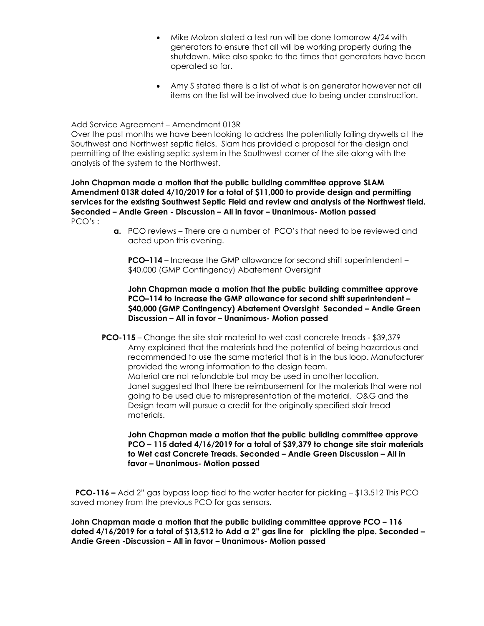- Mike Molzon stated a test run will be done tomorrow 4/24 with generators to ensure that all will be working properly during the shutdown. Mike also spoke to the times that generators have been operated so far.
- Amy S stated there is a list of what is on generator however not all items on the list will be involved due to being under construction.

#### Add Service Agreement – Amendment 013R

Over the past months we have been looking to address the potentially failing drywells at the Southwest and Northwest septic fields. Slam has provided a proposal for the design and permitting of the existing septic system in the Southwest corner of the site along with the analysis of the system to the Northwest.

**John Chapman made a motion that the public building committee approve SLAM Amendment 013R dated 4/10/2019 for a total of \$11,000 to provide design and permitting services for the existing Southwest Septic Field and review and analysis of the Northwest field. Seconded – Andie Green - Discussion – All in favor – Unanimous- Motion passed** PCO's :

> **a.** PCO reviews – There are a number of PCO's that need to be reviewed and acted upon this evening.

**PCO–114** – Increase the GMP allowance for second shift superintendent – \$40,000 (GMP Contingency) Abatement Oversight

**John Chapman made a motion that the public building committee approve PCO–114 to Increase the GMP allowance for second shift superintendent – \$40,000 (GMP Contingency) Abatement Oversight Seconded – Andie Green Discussion – All in favor – Unanimous- Motion passed**

**PCO-115** – Change the site stair material to wet cast concrete treads - \$39,379 Amy explained that the materials had the potential of being hazardous and recommended to use the same material that is in the bus loop. Manufacturer provided the wrong information to the design team. Material are not refundable but may be used in another location. Janet suggested that there be reimbursement for the materials that were not going to be used due to misrepresentation of the material. O&G and the Design team will pursue a credit for the originally specified stair tread materials.

**John Chapman made a motion that the public building committee approve PCO – 115 dated 4/16/2019 for a total of \$39,379 to change site stair materials to Wet cast Concrete Treads. Seconded – Andie Green Discussion – All in favor – Unanimous- Motion passed**

 **PCO-116 –** Add 2" gas bypass loop tied to the water heater for pickling – \$13,512 This PCO saved money from the previous PCO for gas sensors.

**John Chapman made a motion that the public building committee approve PCO – 116 dated 4/16/2019 for a total of \$13,512 to Add a 2" gas line for pickling the pipe. Seconded – Andie Green -Discussion – All in favor – Unanimous- Motion passed**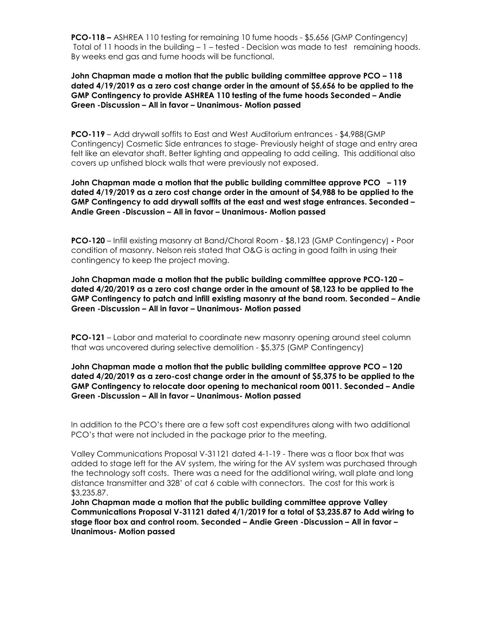**PCO-118 –** ASHREA 110 testing for remaining 10 fume hoods - \$5,656 (GMP Contingency) Total of 11 hoods in the building – 1 – tested - Decision was made to test remaining hoods. By weeks end gas and fume hoods will be functional.

## **John Chapman made a motion that the public building committee approve PCO – 118 dated 4/19/2019 as a zero cost change order in the amount of \$5,656 to be applied to the GMP Contingency to provide ASHREA 110 testing of the fume hoods Seconded – Andie Green -Discussion – All in favor – Unanimous- Motion passed**

**PCO-119** – Add drywall soffits to East and West Auditorium entrances - \$4,988(GMP Contingency) Cosmetic Side entrances to stage- Previously height of stage and entry area felt like an elevator shaft. Better lighting and appealing to add ceiling. This additional also covers up unfished block walls that were previously not exposed.

### **John Chapman made a motion that the public building committee approve PCO – 119 dated 4/19/2019 as a zero cost change order in the amount of \$4,988 to be applied to the GMP Contingency to add drywall soffits at the east and west stage entrances. Seconded – Andie Green -Discussion – All in favor – Unanimous- Motion passed**

**PCO-120** – Infill existing masonry at Band/Choral Room - \$8,123 (GMP Contingency) **-** Poor condition of masonry. Nelson reis stated that O&G is acting in good faith in using their contingency to keep the project moving.

**John Chapman made a motion that the public building committee approve PCO-120 – dated 4/20/2019 as a zero cost change order in the amount of \$8,123 to be applied to the GMP Contingency to patch and infill existing masonry at the band room. Seconded – Andie Green -Discussion – All in favor – Unanimous- Motion passed**

**PCO-121** – Labor and material to coordinate new masonry opening around steel column that was uncovered during selective demolition - \$5,375 (GMP Contingency)

## **John Chapman made a motion that the public building committee approve PCO – 120 dated 4/20/2019 as a zero-cost change order in the amount of \$5,375 to be applied to the GMP Contingency to relocate door opening to mechanical room 0011. Seconded – Andie Green -Discussion – All in favor – Unanimous- Motion passed**

In addition to the PCO's there are a few soft cost expenditures along with two additional PCO's that were not included in the package prior to the meeting.

Valley Communications Proposal V-31121 dated 4-1-19 - There was a floor box that was added to stage left for the AV system, the wiring for the AV system was purchased through the technology soft costs. There was a need for the additional wiring, wall plate and long distance transmitter and 328' of cat 6 cable with connectors. The cost for this work is \$3,235.87.

**John Chapman made a motion that the public building committee approve Valley Communications Proposal V-31121 dated 4/1/2019 for a total of \$3,235.87 to Add wiring to stage floor box and control room. Seconded – Andie Green -Discussion – All in favor – Unanimous- Motion passed**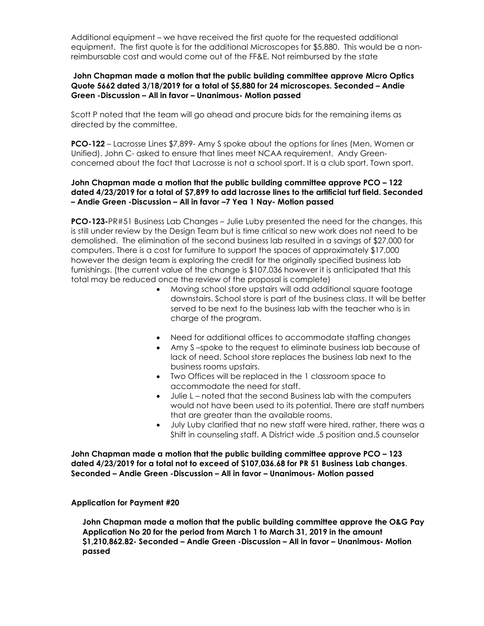Additional equipment – we have received the first quote for the requested additional equipment. The first quote is for the additional Microscopes for \$5,880. This would be a nonreimbursable cost and would come out of the FF&E. Not reimbursed by the state

## **John Chapman made a motion that the public building committee approve Micro Optics Quote 5662 dated 3/18/2019 for a total of \$5,880 for 24 microscopes. Seconded – Andie Green -Discussion – All in favor – Unanimous- Motion passed**

Scott P noted that the team will go ahead and procure bids for the remaining items as directed by the committee.

**PCO-122** – Lacrosse Lines \$7,899- Amy S spoke about the options for lines (Men, Women or Unified). John C- asked to ensure that lines meet NCAA requirement. Andy Greenconcerned about the fact that Lacrosse is not a school sport. It is a club sport. Town sport.

### **John Chapman made a motion that the public building committee approve PCO – 122 dated 4/23/2019 for a total of \$7,899 to add lacrosse lines to the artificial turf field. Seconded – Andie Green -Discussion – All in favor –7 Yea 1 Nay- Motion passed**

**PCO-123-**PR#51 Business Lab Changes – Julie Luby presented the need for the changes, this is still under review by the Design Team but is time critical so new work does not need to be demolished. The elimination of the second business lab resulted in a savings of \$27,000 for computers. There is a cost for furniture to support the spaces of approximately \$17,000 however the design team is exploring the credit for the originally specified business lab furnishings. (the current value of the change is \$107,036 however it is anticipated that this total may be reduced once the review of the proposal is complete)

- Moving school store upstairs will add additional square footage downstairs. School store is part of the business class. It will be better served to be next to the business lab with the teacher who is in charge of the program.
- Need for additional offices to accommodate staffing changes
- Amy S –spoke to the request to eliminate business lab because of lack of need. School store replaces the business lab next to the business rooms upstairs.
- Two Offices will be replaced in the 1 classroom space to accommodate the need for staff.
- Julie L noted that the second Business lab with the computers would not have been used to its potential. There are staff numbers that are greater than the available rooms.
- July Luby clarified that no new staff were hired, rather, there was a Shift in counseling staff. A District wide .5 position and.5 counselor

**John Chapman made a motion that the public building committee approve PCO – 123 dated 4/23/2019 for a total not to exceed of \$107,036.68 for PR 51 Business Lab changes**. **Seconded – Andie Green -Discussion – All in favor – Unanimous- Motion passed**

## **Application for Payment #20**

**John Chapman made a motion that the public building committee approve the O&G Pay Application No 20 for the period from March 1 to March 31, 2019 in the amount \$1,210,862.82- Seconded – Andie Green -Discussion – All in favor – Unanimous- Motion passed**